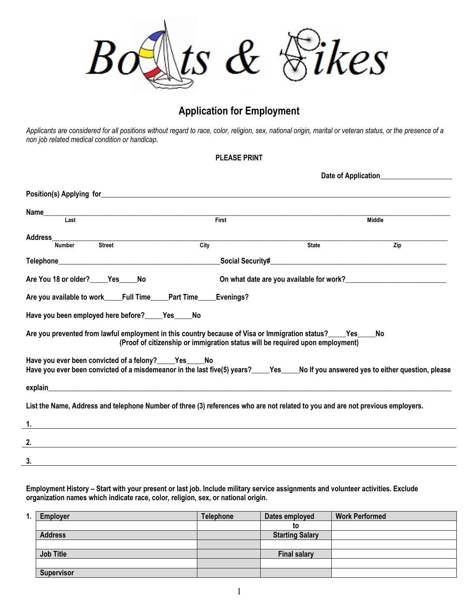

## **Application for Employment**

*Applicants are considered for all positions without regard to race, color, religion, sex, national origin, marital or veteran status, or the presence of a non job related medical condition or handicap.* 

## **PLEASE PRINT**

| Name                                                                                                                                                                                         |                                                                               |                                          |               |  |  |  |
|----------------------------------------------------------------------------------------------------------------------------------------------------------------------------------------------|-------------------------------------------------------------------------------|------------------------------------------|---------------|--|--|--|
| Last                                                                                                                                                                                         | First                                                                         |                                          | <b>Middle</b> |  |  |  |
| <b>Address</b>                                                                                                                                                                               |                                                                               |                                          |               |  |  |  |
| <b>Street</b><br><b>Number</b>                                                                                                                                                               | City                                                                          | <b>State</b>                             | Zip           |  |  |  |
|                                                                                                                                                                                              |                                                                               |                                          |               |  |  |  |
| Are You 18 or older? Yes No                                                                                                                                                                  |                                                                               | On what date are you available for work? |               |  |  |  |
| Are you available to work_____Full Time_____Part Time____                                                                                                                                    | Evenings?                                                                     |                                          |               |  |  |  |
| Have you been employed here before?_____Yes_____No                                                                                                                                           |                                                                               |                                          |               |  |  |  |
| Are you prevented from lawful employment in this country because of Visa or Immigration status? ____ Yes                                                                                     | (Proof of citizenship or immigration status will be required upon employment) |                                          | No            |  |  |  |
| Have you ever been convicted of a felony?_____Yes_____No<br>Have you ever been convicted of a misdemeanor in the last five(5) years?<br>Yes Nouthyou answered yes to either question, please |                                                                               |                                          |               |  |  |  |
|                                                                                                                                                                                              |                                                                               |                                          |               |  |  |  |
| List the Name, Address and telephone Number of three (3) references who are not related to you and are not previous employers.                                                               |                                                                               |                                          |               |  |  |  |
| 1.                                                                                                                                                                                           |                                                                               |                                          |               |  |  |  |
| 2.                                                                                                                                                                                           |                                                                               |                                          |               |  |  |  |
| 3.                                                                                                                                                                                           |                                                                               |                                          |               |  |  |  |

**Employment History – Start with your present or last job. Include military service assignments and volunteer activities. Exclude organization names which indicate race, color, religion, sex, or national origin.** 

| <b>Employer</b>   | <b>Telephone</b> | Dates employed         | <b>Work Performed</b> |
|-------------------|------------------|------------------------|-----------------------|
|                   |                  | to                     |                       |
| <b>Address</b>    |                  | <b>Starting Salary</b> |                       |
|                   |                  |                        |                       |
| <b>Job Title</b>  |                  | <b>Final salary</b>    |                       |
|                   |                  |                        |                       |
| <b>Supervisor</b> |                  |                        |                       |